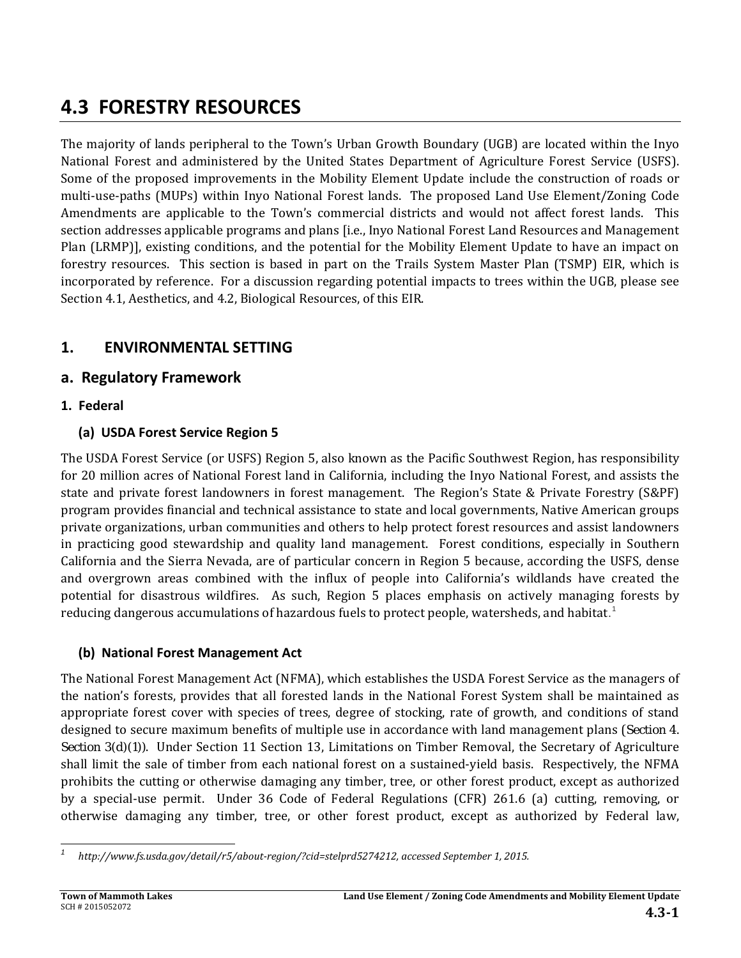# **4.3 FORESTRY RESOURCES**

The majority of lands peripheral to the Town's Urban Growth Boundary (UGB) are located within the Inyo National Forest and administered by the United States Department of Agriculture Forest Service (USFS). Some of the proposed improvements in the Mobility Element Update include the construction of roads or multi-use-paths (MUPs) within Inyo National Forest lands. The proposed Land Use Element/Zoning Code Amendments are applicable to the Town's commercial districts and would not affect forest lands. This section addresses applicable programs and plans [i.e., Inyo National Forest Land Resources and Management Plan (LRMP)], existing conditions, and the potential for the Mobility Element Update to have an impact on forestry resources. This section is based in part on the Trails System Master Plan (TSMP) EIR, which is incorporated by reference. For a discussion regarding potential impacts to trees within the UGB, please see Section 4.1, Aesthetics, and 4.2, Biological Resources, of this EIR.

# **1. ENVIRONMENTAL SETTING**

## **a. Regulatory Framework**

## **1. Federal**

## **(a) USDA Forest Service Region 5**

The USDA Forest Service (or USFS) Region 5, also known as the Pacific Southwest Region, has responsibility for 20 million acres of National Forest land in California, including the Inyo National Forest, and assists the state and private forest landowners in forest management. The Region's State & Private Forestry (S&PF) program provides financial and technical assistance to state and local governments, Native American groups private organizations, urban communities and others to help protect forest resources and assist landowners in practicing good stewardship and quality land management. Forest conditions, especially in Southern California and the Sierra Nevada, are of particular concern in Region 5 because, according the USFS, dense and overgrown areas combined with the influx of people into California's wildlands have created the potential for disastrous wildfires. As such, Region 5 places emphasis on actively managing forests by reducing dangerous accumulations of hazardous fuels to protect people, watersheds, and habitat.<sup>1</sup>

## **(b) National Forest Management Act**

The National Forest Management Act (NFMA), which establishes the USDA Forest Service as the managers of the nation's forests, provides that all forested lands in the National Forest System shall be maintained as appropriate forest cover with species of trees, degree of stocking, rate of growth, and conditions of stand designed to secure maximum benefits of multiple use in accordance with land management plans (Section 4. Section 3(d)(1)). Under Section 11 Section 13, Limitations on Timber Removal, the Secretary of Agriculture shall limit the sale of timber from each national forest on a sustained-yield basis. Respectively, the NFMA prohibits the cutting or otherwise damaging any timber, tree, or other forest product, except as authorized by a special-use permit. Under 36 Code of Federal Regulations (CFR) 261.6 (a) cutting, removing, or otherwise damaging any timber, tree, or other forest product, except as authorized by Federal law,

 *1 http://www.fs.usda.gov/detail/r5/about‐region/?cid=stelprd5274212, accessed September 1, 2015.*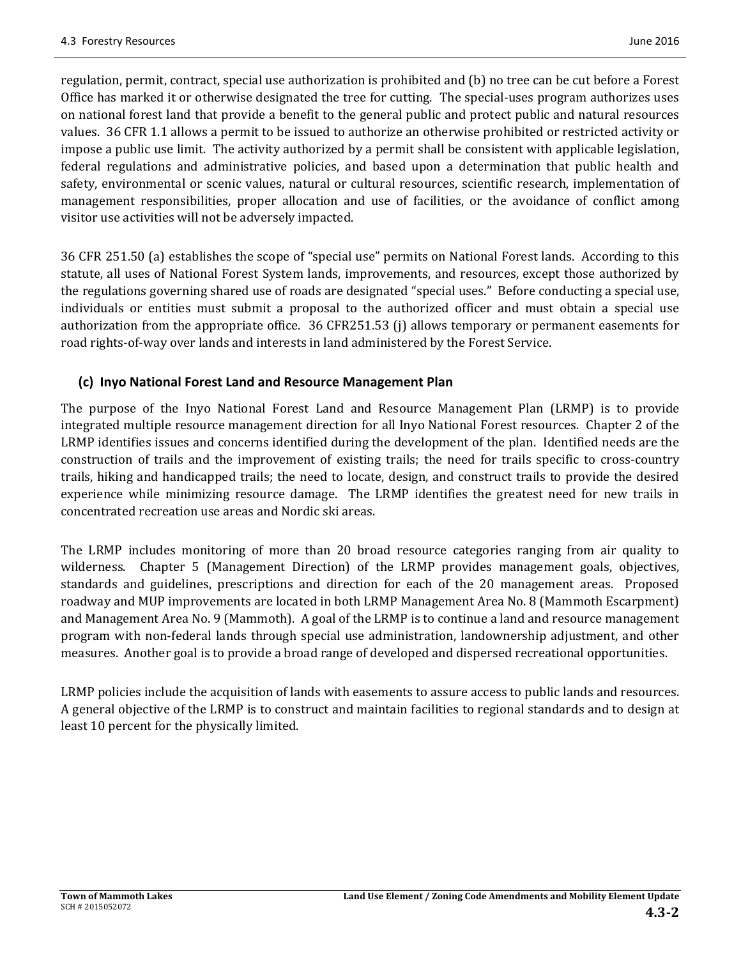regulation, permit, contract, special use authorization is prohibited and (b) no tree can be cut before a Forest Office has marked it or otherwise designated the tree for cutting. The special-uses program authorizes uses on national forest land that provide a benefit to the general public and protect public and natural resources values. 36 CFR 1.1 allows a permit to be issued to authorize an otherwise prohibited or restricted activity or impose a public use limit. The activity authorized by a permit shall be consistent with applicable legislation, federal regulations and administrative policies, and based upon a determination that public health and safety, environmental or scenic values, natural or cultural resources, scientific research, implementation of management responsibilities, proper allocation and use of facilities, or the avoidance of conflict among visitor use activities will not be adversely impacted.

36 CFR 251.50 (a) establishes the scope of "special use" permits on National Forest lands. According to this statute, all uses of National Forest System lands, improvements, and resources, except those authorized by the regulations governing shared use of roads are designated "special uses." Before conducting a special use, individuals or entities must submit a proposal to the authorized officer and must obtain a special use authorization from the appropriate office. 36 CFR251.53 (j) allows temporary or permanent easements for road rights-of-way over lands and interests in land administered by the Forest Service.

### **(c) Inyo National Forest Land and Resource Management Plan**

The purpose of the Inyo National Forest Land and Resource Management Plan (LRMP) is to provide integrated multiple resource management direction for all Inyo National Forest resources. Chapter 2 of the LRMP identifies issues and concerns identified during the development of the plan. Identified needs are the construction of trails and the improvement of existing trails; the need for trails specific to cross-country trails, hiking and handicapped trails; the need to locate, design, and construct trails to provide the desired experience while minimizing resource damage. The LRMP identifies the greatest need for new trails in concentrated recreation use areas and Nordic ski areas.

The LRMP includes monitoring of more than 20 broad resource categories ranging from air quality to wilderness. Chapter 5 (Management Direction) of the LRMP provides management goals, objectives, standards and guidelines, prescriptions and direction for each of the 20 management areas. Proposed roadway and MUP improvements are located in both LRMP Management Area No. 8 (Mammoth Escarpment) and Management Area No. 9 (Mammoth). A goal of the LRMP is to continue a land and resource management program with non-federal lands through special use administration, landownership adjustment, and other measures. Another goal is to provide a broad range of developed and dispersed recreational opportunities.

LRMP policies include the acquisition of lands with easements to assure access to public lands and resources. A general objective of the LRMP is to construct and maintain facilities to regional standards and to design at least 10 percent for the physically limited.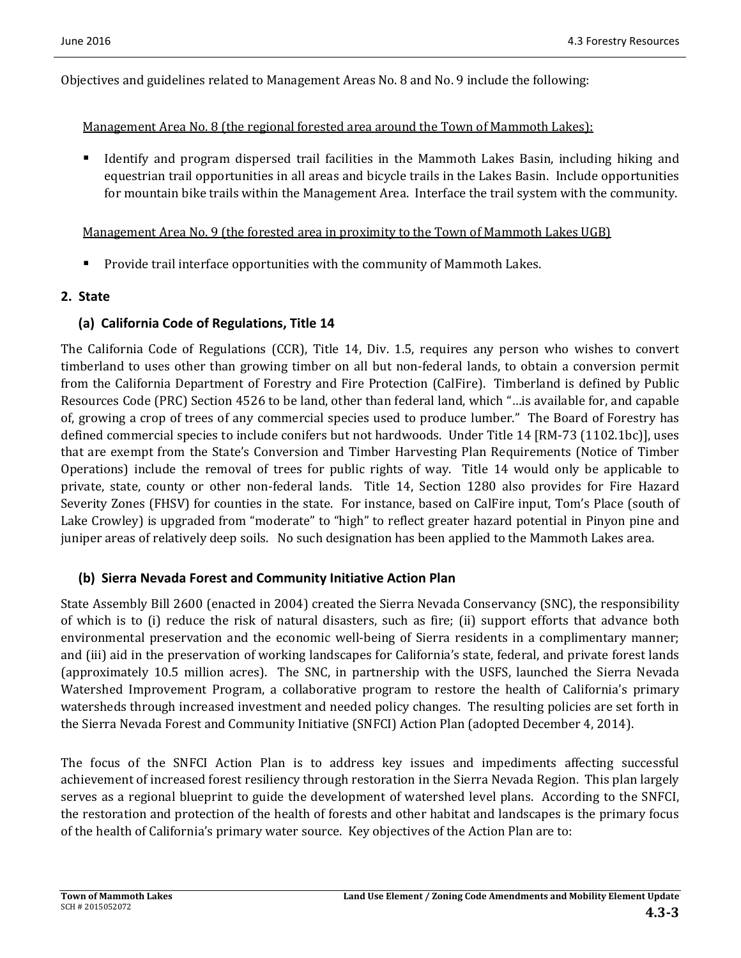Objectives and guidelines related to Management Areas No. 8 and No. 9 include the following:

#### Management Area No. 8 (the regional forested area around the Town of Mammoth Lakes):

Identify and program dispersed trail facilities in the Mammoth Lakes Basin, including hiking and equestrian trail opportunities in all areas and bicycle trails in the Lakes Basin. Include opportunities for mountain bike trails within the Management Area. Interface the trail system with the community.

#### <u>Management Area No. 9 (the forested area in proximity to the Town of Mammoth Lakes UGB)</u>

Provide trail interface opportunities with the community of Mammoth Lakes.

#### **2. State**

#### **(a) California Code of Regulations, Title 14**

The California Code of Regulations (CCR), Title 14, Div. 1.5, requires any person who wishes to convert timberland to uses other than growing timber on all but non-federal lands, to obtain a conversion permit from the California Department of Forestry and Fire Protection (CalFire). Timberland is defined by Public Resources Code (PRC) Section 4526 to be land, other than federal land, which "... is available for, and capable of, growing a crop of trees of any commercial species used to produce lumber." The Board of Forestry has defined commercial species to include conifers but not hardwoods. Under Title 14 [RM-73 (1102.1bc)], uses that are exempt from the State's Conversion and Timber Harvesting Plan Requirements (Notice of Timber Operations) include the removal of trees for public rights of way. Title 14 would only be applicable to private, state, county or other non-federal lands. Title 14, Section 1280 also provides for Fire Hazard Severity Zones (FHSV) for counties in the state. For instance, based on CalFire input, Tom's Place (south of Lake Crowley) is upgraded from "moderate" to "high" to reflect greater hazard potential in Pinyon pine and juniper areas of relatively deep soils. No such designation has been applied to the Mammoth Lakes area.

#### **(b) Sierra Nevada Forest and Community Initiative Action Plan**

State Assembly Bill 2600 (enacted in 2004) created the Sierra Nevada Conservancy (SNC), the responsibility of which is to (i) reduce the risk of natural disasters, such as fire; (ii) support efforts that advance both environmental preservation and the economic well-being of Sierra residents in a complimentary manner; and (iii) aid in the preservation of working landscapes for California's state, federal, and private forest lands (approximately 10.5 million acres). The SNC, in partnership with the USFS, launched the Sierra Nevada Watershed Improvement Program, a collaborative program to restore the health of California's primary watersheds through increased investment and needed policy changes. The resulting policies are set forth in the Sierra Nevada Forest and Community Initiative (SNFCI) Action Plan (adopted December 4, 2014).

The focus of the SNFCI Action Plan is to address key issues and impediments affecting successful achievement of increased forest resiliency through restoration in the Sierra Nevada Region. This plan largely serves as a regional blueprint to guide the development of watershed level plans. According to the SNFCI, the restoration and protection of the health of forests and other habitat and landscapes is the primary focus of the health of California's primary water source. Key objectives of the Action Plan are to: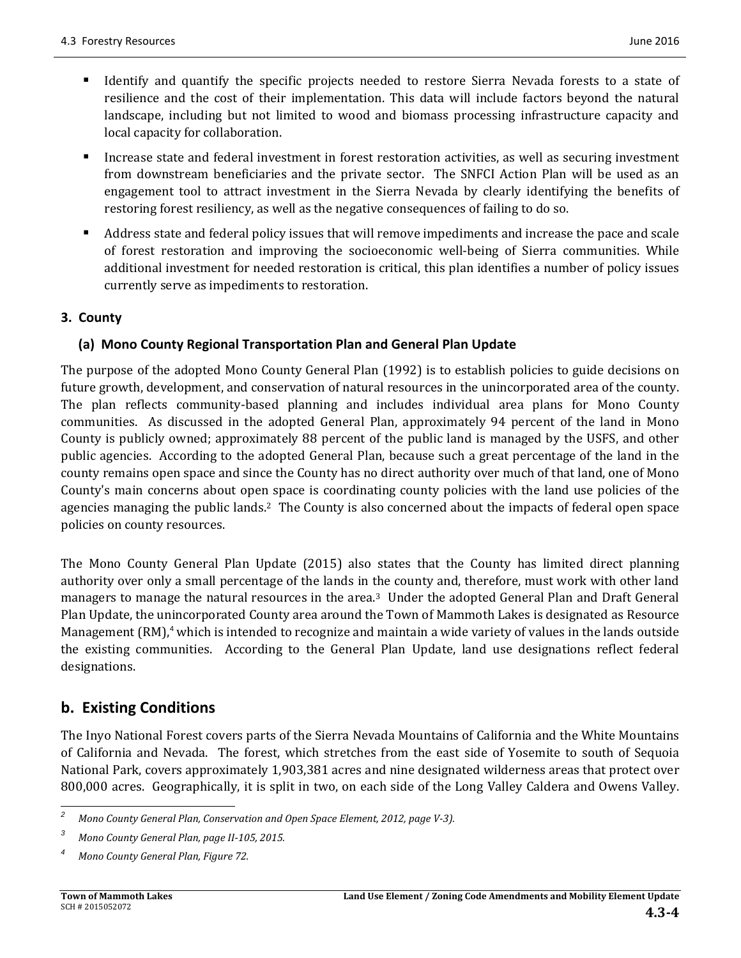- Identify and quantify the specific projects needed to restore Sierra Nevada forests to a state of resilience and the cost of their implementation. This data will include factors beyond the natural landscape, including but not limited to wood and biomass processing infrastructure capacity and local capacity for collaboration.
- Increase state and federal investment in forest restoration activities, as well as securing investment from downstream beneficiaries and the private sector. The SNFCI Action Plan will be used as an engagement tool to attract investment in the Sierra Nevada by clearly identifying the benefits of restoring forest resiliency, as well as the negative consequences of failing to do so.
- Address state and federal policy issues that will remove impediments and increase the pace and scale of forest restoration and improving the socioeconomic well-being of Sierra communities. While additional investment for needed restoration is critical, this plan identifies a number of policy issues currently serve as impediments to restoration.

### **3. County**

### **(a) Mono County Regional Transportation Plan and General Plan Update**

The purpose of the adopted Mono County General Plan (1992) is to establish policies to guide decisions on future growth, development, and conservation of natural resources in the unincorporated area of the county. The plan reflects community-based planning and includes individual area plans for Mono County communities. As discussed in the adopted General Plan, approximately 94 percent of the land in Mono County is publicly owned; approximately 88 percent of the public land is managed by the USFS, and other public agencies. According to the adopted General Plan, because such a great percentage of the land in the county remains open space and since the County has no direct authority over much of that land, one of Mono County's main concerns about open space is coordinating county policies with the land use policies of the agencies managing the public lands.<sup>2</sup> The County is also concerned about the impacts of federal open space policies on county resources.

The Mono County General Plan Update (2015) also states that the County has limited direct planning authority over only a small percentage of the lands in the county and, therefore, must work with other land managers to manage the natural resources in the area.<sup>3</sup> Under the adopted General Plan and Draft General Plan Update, the unincorporated County area around the Town of Mammoth Lakes is designated as Resource Management  $\text{(RM)}^4$  which is intended to recognize and maintain a wide variety of values in the lands outside the existing communities. According to the General Plan Update, land use designations reflect federal designations. 

# **b. Existing Conditions**

The Inyo National Forest covers parts of the Sierra Nevada Mountains of California and the White Mountains of California and Nevada. The forest, which stretches from the east side of Yosemite to south of Sequoia National Park, covers approximately 1,903,381 acres and nine designated wilderness areas that protect over 800,000 acres. Geographically, it is split in two, on each side of the Long Valley Caldera and Owens Valley.

<sup>&</sup>lt;u> 1989 - Johann Stein, fransk politik (d. 1989)</u> *2 Mono County General Plan, Conservation and Open Space Element, 2012, page V‐3).*

*<sup>3</sup> Mono County General Plan, page II‐105, 2015.*

*<sup>4</sup> Mono County General Plan, Figure 72.*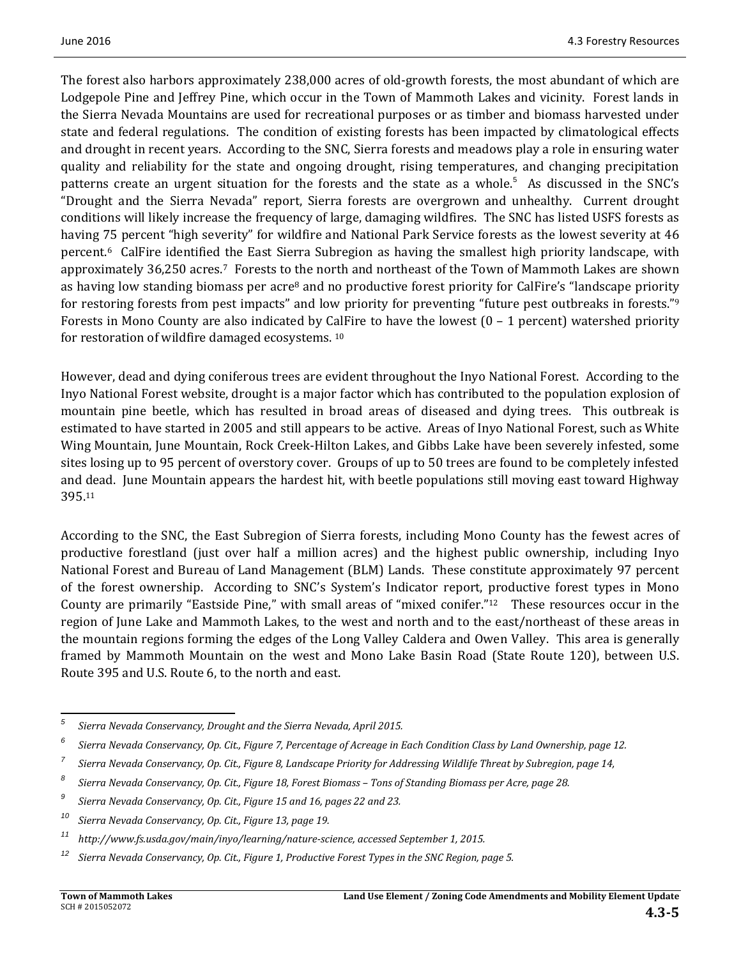The forest also harbors approximately 238,000 acres of old-growth forests, the most abundant of which are Lodgepole Pine and Jeffrey Pine, which occur in the Town of Mammoth Lakes and vicinity. Forest lands in the Sierra Nevada Mountains are used for recreational purposes or as timber and biomass harvested under state and federal regulations. The condition of existing forests has been impacted by climatological effects and drought in recent years. According to the SNC, Sierra forests and meadows play a role in ensuring water quality and reliability for the state and ongoing drought, rising temperatures, and changing precipitation patterns create an urgent situation for the forests and the state as a whole.<sup>5</sup> As discussed in the SNC's "Drought and the Sierra Nevada" report, Sierra forests are overgrown and unhealthy. Current drought conditions will likely increase the frequency of large, damaging wildfires. The SNC has listed USFS forests as having 75 percent "high severity" for wildfire and National Park Service forests as the lowest severity at 46 percent.<sup>6</sup> CalFire identified the East Sierra Subregion as having the smallest high priority landscape, with approximately 36,250 acres.<sup>7</sup> Forests to the north and northeast of the Town of Mammoth Lakes are shown as having low standing biomass per acre<sup>8</sup> and no productive forest priority for CalFire's "landscape priority for restoring forests from pest impacts" and low priority for preventing "future pest outbreaks in forests."<sup>9</sup> Forests in Mono County are also indicated by CalFire to have the lowest  $(0 - 1$  percent) watershed priority for restoration of wildfire damaged ecosystems.  $10$ 

However, dead and dying coniferous trees are evident throughout the Inyo National Forest. According to the Inyo National Forest website, drought is a major factor which has contributed to the population explosion of mountain pine beetle, which has resulted in broad areas of diseased and dying trees. This outbreak is estimated to have started in 2005 and still appears to be active. Areas of Inyo National Forest, such as White Wing Mountain, June Mountain, Rock Creek-Hilton Lakes, and Gibbs Lake have been severely infested, some sites losing up to 95 percent of overstory cover. Groups of up to 50 trees are found to be completely infested and dead. June Mountain appears the hardest hit, with beetle populations still moving east toward Highway 395.11

According to the SNC, the East Subregion of Sierra forests, including Mono County has the fewest acres of productive forestland (just over half a million acres) and the highest public ownership, including Inyo National Forest and Bureau of Land Management (BLM) Lands. These constitute approximately 97 percent of the forest ownership. According to SNC's System's Indicator report, productive forest types in Mono County are primarily "Eastside Pine," with small areas of "mixed conifer."<sup>12</sup> These resources occur in the region of June Lake and Mammoth Lakes, to the west and north and to the east/northeast of these areas in the mountain regions forming the edges of the Long Valley Caldera and Owen Valley. This area is generally framed by Mammoth Mountain on the west and Mono Lake Basin Road (State Route 120), between U.S. Route 395 and U.S. Route 6, to the north and east.

 

*<sup>5</sup> Sierra Nevada Conservancy, Drought and the Sierra Nevada, April 2015.*

*<sup>6</sup>* Sierra Nevada Conservancy, Op. Cit., Figure 7, Percentage of Acreage in Each Condition Class by Land Ownership, page 12.

*<sup>7</sup>* Sierra Nevada Conservancy, Op. Cit., Figure 8, Landscape Priority for Addressing Wildlife Threat by Subregion, page 14,

*<sup>8</sup>* Sierra Nevada Conservancy, Op. Cit., Figure 18, Forest Biomass - Tons of Standing Biomass per Acre, page 28.

*<sup>9</sup> Sierra Nevada Conservancy, Op. Cit., Figure 15 and 16, pages 22 and 23.* 

*<sup>10</sup> Sierra Nevada Conservancy, Op. Cit., Figure 13, page 19.* 

*<sup>11</sup> http://www.fs.usda.gov/main/inyo/learning/nature‐science, accessed September 1, 2015.*

 $12$  Sierra Nevada Conservancy, Op. Cit., Figure 1, Productive Forest Types in the SNC Region, page 5.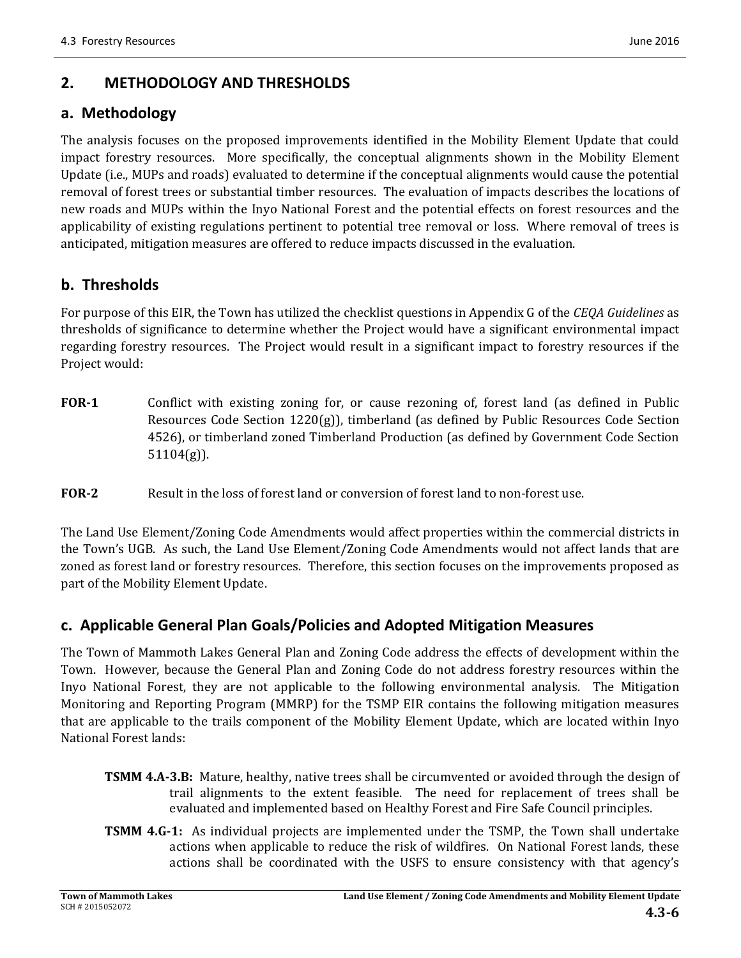# **2. METHODOLOGY AND THRESHOLDS**

## **a. Methodology**

The analysis focuses on the proposed improvements identified in the Mobility Element Update that could impact forestry resources. More specifically, the conceptual alignments shown in the Mobility Element Update (i.e., MUPs and roads) evaluated to determine if the conceptual alignments would cause the potential removal of forest trees or substantial timber resources. The evaluation of impacts describes the locations of new roads and MUPs within the Inyo National Forest and the potential effects on forest resources and the applicability of existing regulations pertinent to potential tree removal or loss. Where removal of trees is anticipated, mitigation measures are offered to reduce impacts discussed in the evaluation.

# **b. Thresholds**

For purpose of this EIR, the Town has utilized the checklist questions in Appendix G of the *CEQA Guidelines* as thresholds of significance to determine whether the Project would have a significant environmental impact regarding forestry resources. The Project would result in a significant impact to forestry resources if the Project would:

- **FOR-1** Conflict with existing zoning for, or cause rezoning of, forest land (as defined in Public Resources Code Section  $1220(g)$ ), timberland (as defined by Public Resources Code Section 4526), or timberland zoned Timberland Production (as defined by Government Code Section 51104(g)).
- **FOR**<sub>2</sub> Result in the loss of forest land or conversion of forest land to non-forest use.

The Land Use Element/Zoning Code Amendments would affect properties within the commercial districts in the Town's UGB. As such, the Land Use Element/Zoning Code Amendments would not affect lands that are zoned as forest land or forestry resources. Therefore, this section focuses on the improvements proposed as part of the Mobility Element Update.

## **c. Applicable General Plan Goals/Policies and Adopted Mitigation Measures**

The Town of Mammoth Lakes General Plan and Zoning Code address the effects of development within the Town. However, because the General Plan and Zoning Code do not address forestry resources within the Inyo National Forest, they are not applicable to the following environmental analysis. The Mitigation Monitoring and Reporting Program (MMRP) for the TSMP EIR contains the following mitigation measures that are applicable to the trails component of the Mobility Element Update, which are located within Inyo National Forest lands:

- **TSMM 4.A-3.B:** Mature, healthy, native trees shall be circumvented or avoided through the design of trail alignments to the extent feasible. The need for replacement of trees shall be evaluated and implemented based on Healthy Forest and Fire Safe Council principles.
- **TSMM 4.G-1:** As individual projects are implemented under the TSMP, the Town shall undertake actions when applicable to reduce the risk of wildfires. On National Forest lands, these actions shall be coordinated with the USFS to ensure consistency with that agency's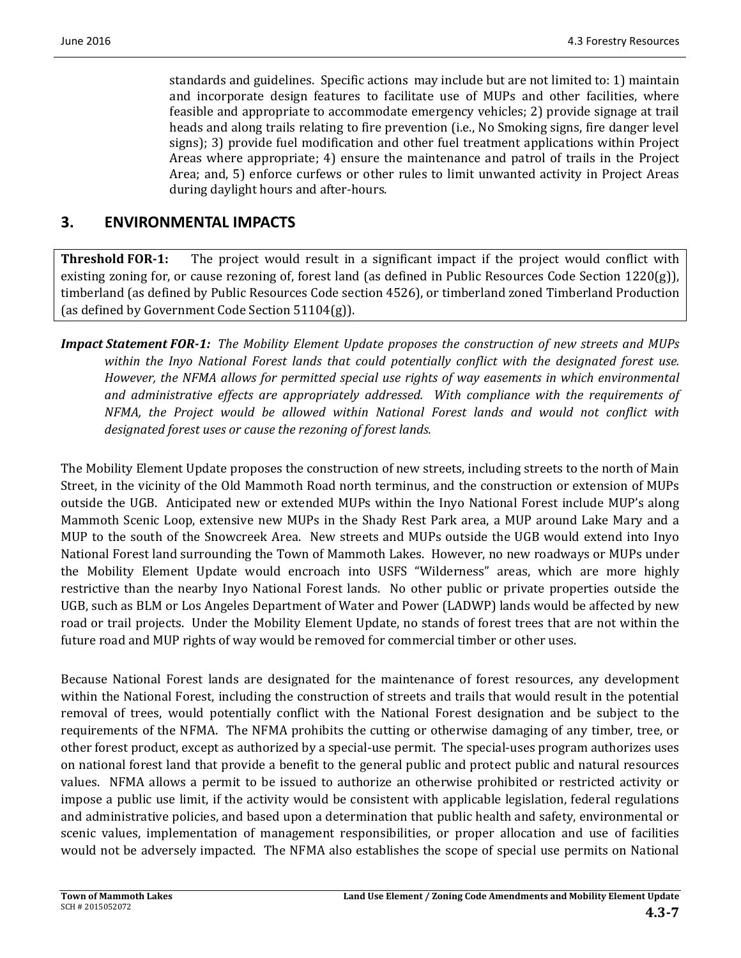standards and guidelines. Specific actions may include but are not limited to: 1) maintain and incorporate design features to facilitate use of MUPs and other facilities, where feasible and appropriate to accommodate emergency vehicles; 2) provide signage at trail heads and along trails relating to fire prevention (i.e., No Smoking signs, fire danger level signs); 3) provide fuel modification and other fuel treatment applications within Project Areas where appropriate;  $4$ ) ensure the maintenance and patrol of trails in the Project Area; and, 5) enforce curfews or other rules to limit unwanted activity in Project Areas during daylight hours and after-hours.

## **3. ENVIRONMENTAL IMPACTS**

**Threshold FOR-1:** The project would result in a significant impact if the project would conflict with existing zoning for, or cause rezoning of, forest land (as defined in Public Resources Code Section  $1220(g)$ ), timberland (as defined by Public Resources Code section 4526), or timberland zoned Timberland Production (as defined by Government Code Section  $51104(g)$ ).

*Impact Statement FOR‐1: The Mobility Element Update proposes the construction of new streets and MUPs within the Inyo National Forest lands that could potentially conflict with the designated forest use. However, the NFMA allows for permitted special use rights of way easements in which environmental and administrative effects are appropriately addressed. With compliance with the requirements of NFMA, the Project would be allowed within National Forest lands and would not conflict with designated forest uses or cause the rezoning of forest lands.* 

The Mobility Element Update proposes the construction of new streets, including streets to the north of Main Street, in the vicinity of the Old Mammoth Road north terminus, and the construction or extension of MUPs outside the UGB. Anticipated new or extended MUPs within the Inyo National Forest include MUP's along Mammoth Scenic Loop, extensive new MUPs in the Shady Rest Park area, a MUP around Lake Mary and a MUP to the south of the Snowcreek Area. New streets and MUPs outside the UGB would extend into Inyo National Forest land surrounding the Town of Mammoth Lakes. However, no new roadways or MUPs under the Mobility Element Update would encroach into USFS "Wilderness" areas, which are more highly restrictive than the nearby Inyo National Forest lands. No other public or private properties outside the UGB, such as BLM or Los Angeles Department of Water and Power (LADWP) lands would be affected by new road or trail projects. Under the Mobility Element Update, no stands of forest trees that are not within the future road and MUP rights of way would be removed for commercial timber or other uses.

Because National Forest lands are designated for the maintenance of forest resources, any development within the National Forest, including the construction of streets and trails that would result in the potential removal of trees, would potentially conflict with the National Forest designation and be subject to the requirements of the NFMA. The NFMA prohibits the cutting or otherwise damaging of any timber, tree, or other forest product, except as authorized by a special-use permit. The special-uses program authorizes uses on national forest land that provide a benefit to the general public and protect public and natural resources values. NFMA allows a permit to be issued to authorize an otherwise prohibited or restricted activity or impose a public use limit, if the activity would be consistent with applicable legislation, federal regulations and administrative policies, and based upon a determination that public health and safety, environmental or scenic values, implementation of management responsibilities, or proper allocation and use of facilities would not be adversely impacted. The NFMA also establishes the scope of special use permits on National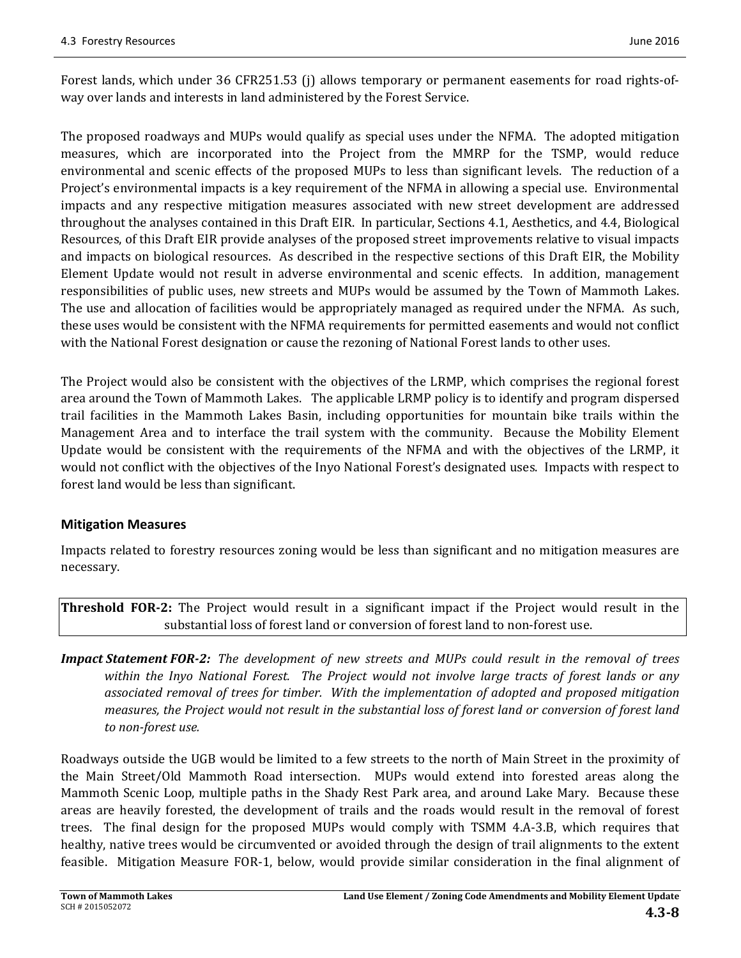Forest lands, which under 36 CFR251.53 (j) allows temporary or permanent easements for road rights-ofway over lands and interests in land administered by the Forest Service.

The proposed roadways and MUPs would qualify as special uses under the NFMA. The adopted mitigation measures, which are incorporated into the Project from the MMRP for the TSMP, would reduce environmental and scenic effects of the proposed MUPs to less than significant levels. The reduction of a Project's environmental impacts is a key requirement of the NFMA in allowing a special use. Environmental impacts and any respective mitigation measures associated with new street development are addressed throughout the analyses contained in this Draft EIR. In particular, Sections 4.1, Aesthetics, and 4.4, Biological Resources, of this Draft EIR provide analyses of the proposed street improvements relative to visual impacts and impacts on biological resources. As described in the respective sections of this Draft EIR, the Mobility Element Update would not result in adverse environmental and scenic effects. In addition, management responsibilities of public uses, new streets and MUPs would be assumed by the Town of Mammoth Lakes. The use and allocation of facilities would be appropriately managed as required under the NFMA. As such, these uses would be consistent with the NFMA requirements for permitted easements and would not conflict with the National Forest designation or cause the rezoning of National Forest lands to other uses.

The Project would also be consistent with the objectives of the LRMP, which comprises the regional forest area around the Town of Mammoth Lakes. The applicable LRMP policy is to identify and program dispersed trail facilities in the Mammoth Lakes Basin, including opportunities for mountain bike trails within the Management Area and to interface the trail system with the community. Because the Mobility Element Update would be consistent with the requirements of the NFMA and with the objectives of the LRMP, it would not conflict with the objectives of the Inyo National Forest's designated uses. Impacts with respect to forest land would be less than significant.

#### **Mitigation Measures**

Impacts related to forestry resources zoning would be less than significant and no mitigation measures are necessary. 

**Threshold FOR<sup>2</sup>:** The Project would result in a significant impact if the Project would result in the substantial loss of forest land or conversion of forest land to non-forest use.

**Impact Statement FOR-2:** The development of new streets and MUPs could result in the removal of trees within the Inyo National Forest. The Project would not involve large tracts of forest lands or any *associated removal of trees for timber. With the implementation of adopted and proposed mitigation* measures, the Project would not result in the substantial loss of forest land or conversion of forest land *to non‐forest use.* 

Roadways outside the UGB would be limited to a few streets to the north of Main Street in the proximity of the Main Street/Old Mammoth Road intersection. MUPs would extend into forested areas along the Mammoth Scenic Loop, multiple paths in the Shady Rest Park area, and around Lake Mary. Because these areas are heavily forested, the development of trails and the roads would result in the removal of forest trees. The final design for the proposed MUPs would comply with TSMM 4.A–3.B, which requires that healthy, native trees would be circumvented or avoided through the design of trail alignments to the extent feasible. Mitigation Measure FOR-1, below, would provide similar consideration in the final alignment of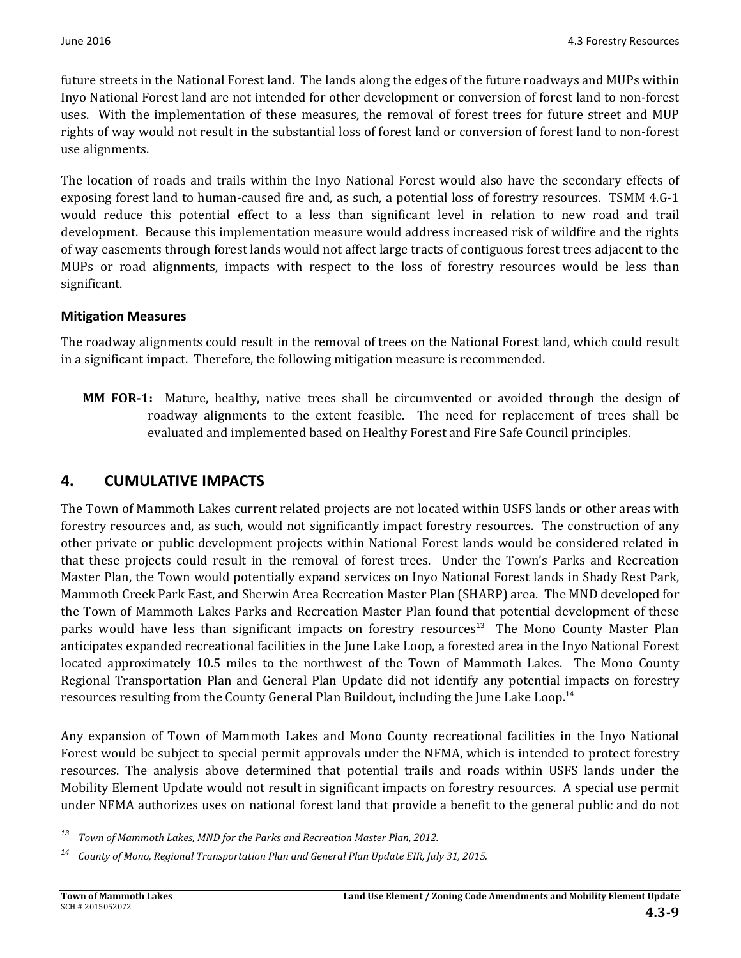future streets in the National Forest land. The lands along the edges of the future roadways and MUPs within Inyo National Forest land are not intended for other development or conversion of forest land to non-forest uses. With the implementation of these measures, the removal of forest trees for future street and MUP rights of way would not result in the substantial loss of forest land or conversion of forest land to non-forest use alignments.

The location of roads and trails within the Inyo National Forest would also have the secondary effects of exposing forest land to human-caused fire and, as such, a potential loss of forestry resources. TSMM 4.G-1 would reduce this potential effect to a less than significant level in relation to new road and trail development. Because this implementation measure would address increased risk of wildfire and the rights of way easements through forest lands would not affect large tracts of contiguous forest trees adjacent to the MUPs or road alignments, impacts with respect to the loss of forestry resources would be less than significant.

#### **Mitigation Measures**

The roadway alignments could result in the removal of trees on the National Forest land, which could result in a significant impact. Therefore, the following mitigation measure is recommended.

**MM FOR-1:** Mature, healthy, native trees shall be circumvented or avoided through the design of roadway alignments to the extent feasible. The need for replacement of trees shall be evaluated and implemented based on Healthy Forest and Fire Safe Council principles.

## **4. CUMULATIVE IMPACTS**

The Town of Mammoth Lakes current related projects are not located within USFS lands or other areas with forestry resources and, as such, would not significantly impact forestry resources. The construction of any other private or public development projects within National Forest lands would be considered related in that these projects could result in the removal of forest trees. Under the Town's Parks and Recreation Master Plan, the Town would potentially expand services on Inyo National Forest lands in Shady Rest Park, Mammoth Creek Park East, and Sherwin Area Recreation Master Plan (SHARP) area. The MND developed for the Town of Mammoth Lakes Parks and Recreation Master Plan found that potential development of these parks would have less than significant impacts on forestry resources<sup>13</sup> The Mono County Master Plan anticipates expanded recreational facilities in the June Lake Loop, a forested area in the Inyo National Forest located approximately 10.5 miles to the northwest of the Town of Mammoth Lakes. The Mono County Regional Transportation Plan and General Plan Update did not identify any potential impacts on forestry resources resulting from the County General Plan Buildout, including the June Lake Loop.<sup>14</sup>

Any expansion of Town of Mammoth Lakes and Mono County recreational facilities in the Inyo National Forest would be subject to special permit approvals under the NFMA, which is intended to protect forestry resources. The analysis above determined that potential trails and roads within USFS lands under the Mobility Element Update would not result in significant impacts on forestry resources. A special use permit under NFMA authorizes uses on national forest land that provide a benefit to the general public and do not

 *<sup>13</sup> Town of Mammoth Lakes, MND for the Parks and Recreation Master Plan, 2012.* 

*<sup>14</sup> County of Mono, Regional Transportation Plan and General Plan Update EIR, July 31, 2015.*